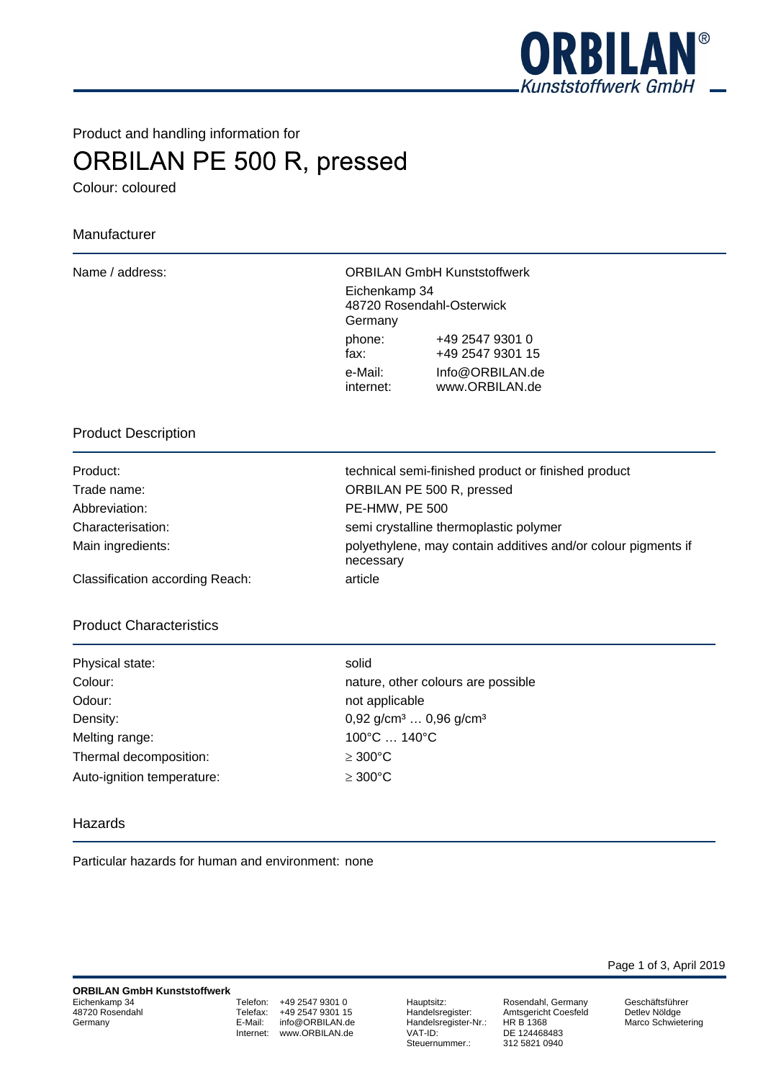

Product and handling information for

# **ORBILAN PE 500 R, pressed**

Colour: coloured

# Manufacturer

Name / address: ORBILAN GmbH Kunststoffwerk Eichenkamp 34 48720 Rosendahl-Osterwick Germany phone: +49 2547 9301 0 fax: +49 2547 9301 15 e-Mail: Info@ORBILAN.de internet: www.ORBILAN.de

#### Product Description

Abbreviation: PE-HMW, PE 500

Product: technical semi-finished product or finished product Trade name: ORBILAN PE 500 R, pressed Characterisation: semi crystalline thermoplastic polymer Main ingredients: https://www.may polyethylene, may contain additives and/or colour pigments if necessary

Classification according Reach: article

# Product Characteristics

| Physical state:            | solid       |
|----------------------------|-------------|
| Colour:                    | natu        |
| Odour:                     | not a       |
| Density:                   | 0.92        |
| Melting range:             | $100^\circ$ |
| Thermal decomposition:     | $\geq 30$   |
| Auto-ignition temperature: | $\geq 30$   |

nature, other colours are possible not applicable  $0.92$  g/cm<sup>3</sup> ...  $0.96$  g/cm<sup>3</sup> 100°C ... 140°C  $\geq 300^{\circ}$ C  $\geq 300^{\circ}$ C

#### Hazards

Particular hazards for human and environment: none

Telefon: +49 2547 9301 0 Telefax: +49 2547 9301 15<br>E-Mail: info@ORBILAN.de info@ORBILAN.de Internet: www.ORBILAN.de

Hauptsitz: Rosendahl, Germany Handelsregister-Nr.:<br>VAT-ID: Steuernummer.:

Handelsregister: Amtsgericht Coesfeld<br>Handelsregister-Nr.: HR B 1368 DE 124468483<br>312 5821 0940

Page 1 of 3, April 2019

Geschäftsführer Detlev Nöldge Marco Schwietering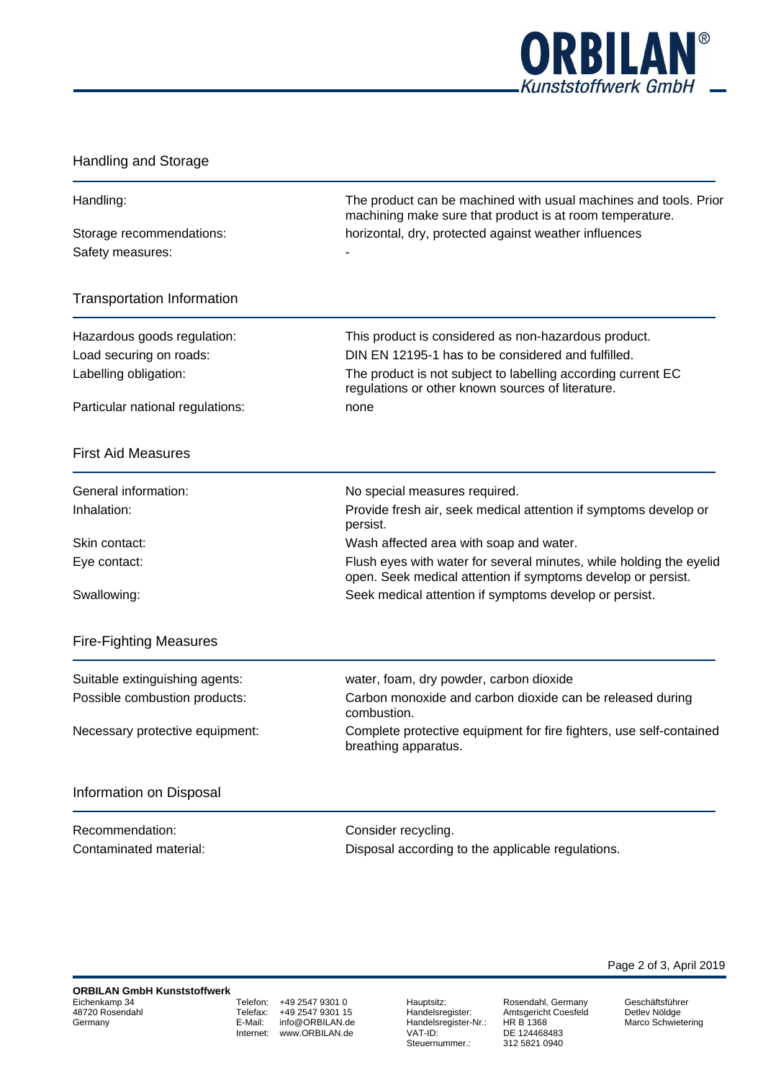

# Handling and Storage

| Handling:                                        | The product can be machined with usual machines and tools. Prior<br>machining make sure that product is at room temperature.                                            |  |
|--------------------------------------------------|-------------------------------------------------------------------------------------------------------------------------------------------------------------------------|--|
| Storage recommendations:<br>Safety measures:     | horizontal, dry, protected against weather influences                                                                                                                   |  |
| <b>Transportation Information</b>                |                                                                                                                                                                         |  |
| Hazardous goods regulation:                      | This product is considered as non-hazardous product.                                                                                                                    |  |
| Load securing on roads:<br>Labelling obligation: | DIN EN 12195-1 has to be considered and fulfilled.<br>The product is not subject to labelling according current EC<br>regulations or other known sources of literature. |  |
| Particular national regulations:                 | none                                                                                                                                                                    |  |
| <b>First Aid Measures</b>                        |                                                                                                                                                                         |  |
| General information:                             | No special measures required.                                                                                                                                           |  |
| Inhalation:                                      | Provide fresh air, seek medical attention if symptoms develop or<br>persist.                                                                                            |  |
| Skin contact:                                    | Wash affected area with soap and water.                                                                                                                                 |  |
| Eye contact:                                     | Flush eyes with water for several minutes, while holding the eyelid<br>open. Seek medical attention if symptoms develop or persist.                                     |  |
| Swallowing:                                      | Seek medical attention if symptoms develop or persist.                                                                                                                  |  |
| <b>Fire-Fighting Measures</b>                    |                                                                                                                                                                         |  |
| Suitable extinguishing agents:                   | water, foam, dry powder, carbon dioxide                                                                                                                                 |  |
| Possible combustion products:                    | Carbon monoxide and carbon dioxide can be released during<br>combustion.                                                                                                |  |
| Necessary protective equipment:                  | Complete protective equipment for fire fighters, use self-contained<br>breathing apparatus.                                                                             |  |
| Information on Disposal                          |                                                                                                                                                                         |  |
| Recommendation:                                  | Consider recycling.                                                                                                                                                     |  |
| Contaminated material:                           | Disposal according to the applicable regulations.                                                                                                                       |  |
|                                                  |                                                                                                                                                                         |  |

Telefon: +49 2547 9301 0<br>Telefax: +49 2547 9301 15 Telefax: +49 2547 9301 15<br>E-Mail: info@ORBILAN.de info@ORBILAN.de Internet: www.ORBILAN.de

Hauptsitz: Rosendahl, Germany Handelsregister-Nr.:<br>VAT-ID: VAT-ID: DE 124468483 Steuernummer.: 312 5821 0940

Handelsregister: Amtsgericht Coesfeld

Page 2 of 3, April 2019

Geschäftsführer Detlev Nöldge Marco Schwietering